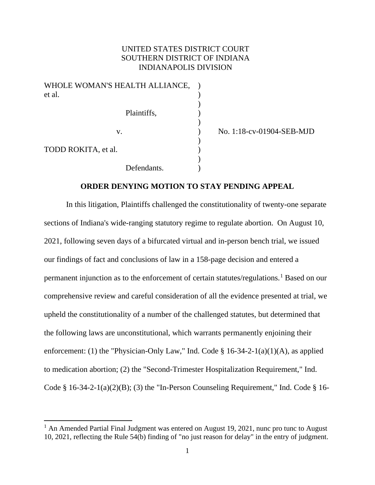# UNITED STATES DISTRICT COURT SOUTHERN DISTRICT OF INDIANA INDIANAPOLIS DIVISION

| WHOLE WOMAN'S HEALTH ALLIANCE, |             |  |
|--------------------------------|-------------|--|
| et al.                         |             |  |
|                                |             |  |
|                                | Plaintiffs, |  |
|                                |             |  |
| V.                             |             |  |
|                                |             |  |
| TODD ROKITA, et al.            |             |  |
|                                |             |  |
|                                | Defendants. |  |

v. ) No. 1:18-cv-01904-SEB-MJD

## **ORDER DENYING MOTION TO STAY PENDING APPEAL**

 In this litigation, Plaintiffs challenged the constitutionality of twenty-one separate sections of Indiana's wide-ranging statutory regime to regulate abortion. On August 10, 2021, following seven days of a bifurcated virtual and in-person bench trial, we issued our findings of fact and conclusions of law in a 158-page decision and entered a permanent injunction as to the enforcement of certain statutes/regulations.<sup>[1](#page-0-0)</sup> Based on our comprehensive review and careful consideration of all the evidence presented at trial, we upheld the constitutionality of a number of the challenged statutes, but determined that the following laws are unconstitutional, which warrants permanently enjoining their enforcement: (1) the "Physician-Only Law," Ind. Code  $\S$  16-34-2-1(a)(1)(A), as applied to medication abortion; (2) the "Second-Trimester Hospitalization Requirement," Ind. Code  $\S$  16-34-2-1(a)(2)(B); (3) the "In-Person Counseling Requirement," Ind. Code  $\S$  16-

<span id="page-0-0"></span><sup>&</sup>lt;sup>1</sup> An Amended Partial Final Judgment was entered on August 19, 2021, nunc pro tunc to August 10, 2021, reflecting the Rule 54(b) finding of "no just reason for delay" in the entry of judgment.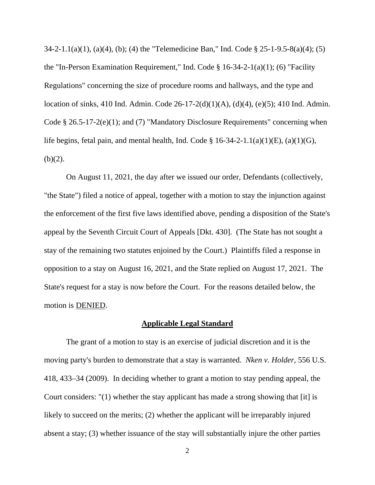34-2-1.1(a)(1), (a)(4), (b); (4) the "Telemedicine Ban," Ind. Code § 25-1-9.5-8(a)(4); (5) the "In-Person Examination Requirement," Ind. Code § 16-34-2-1(a)(1); (6) "Facility Regulations" concerning the size of procedure rooms and hallways, and the type and location of sinks, 410 Ind. Admin. Code 26-17-2(d)(1)(A), (d)(4), (e)(5); 410 Ind. Admin. Code § 26.5-17-2(e)(1); and (7) "Mandatory Disclosure Requirements" concerning when life begins, fetal pain, and mental health, Ind. Code  $\S 16-34-2-1.1(a)(1)(E)$ ,  $(a)(1)(G)$ ,  $(b)(2)$ .

On August 11, 2021, the day after we issued our order, Defendants (collectively, "the State") filed a notice of appeal, together with a motion to stay the injunction against the enforcement of the first five laws identified above, pending a disposition of the State's appeal by the Seventh Circuit Court of Appeals [Dkt. 430]. (The State has not sought a stay of the remaining two statutes enjoined by the Court.) Plaintiffs filed a response in opposition to a stay on August 16, 2021, and the State replied on August 17, 2021. The State's request for a stay is now before the Court. For the reasons detailed below, the motion is DENIED.

#### **Applicable Legal Standard**

The grant of a motion to stay is an exercise of judicial discretion and it is the moving party's burden to demonstrate that a stay is warranted. *Nken v. Holder*, 556 U.S. 418, 433–34 (2009). In deciding whether to grant a motion to stay pending appeal, the Court considers: "(1) whether the stay applicant has made a strong showing that [it] is likely to succeed on the merits; (2) whether the applicant will be irreparably injured absent a stay; (3) whether issuance of the stay will substantially injure the other parties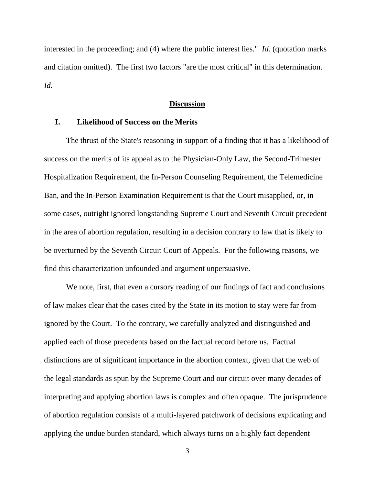interested in the proceeding; and (4) where the public interest lies." *Id.* (quotation marks and citation omitted). The first two factors "are the most critical" in this determination. *Id.*

### **Discussion**

## **I. Likelihood of Success on the Merits**

The thrust of the State's reasoning in support of a finding that it has a likelihood of success on the merits of its appeal as to the Physician-Only Law, the Second-Trimester Hospitalization Requirement, the In-Person Counseling Requirement, the Telemedicine Ban, and the In-Person Examination Requirement is that the Court misapplied, or, in some cases, outright ignored longstanding Supreme Court and Seventh Circuit precedent in the area of abortion regulation, resulting in a decision contrary to law that is likely to be overturned by the Seventh Circuit Court of Appeals. For the following reasons, we find this characterization unfounded and argument unpersuasive.

We note, first, that even a cursory reading of our findings of fact and conclusions of law makes clear that the cases cited by the State in its motion to stay were far from ignored by the Court. To the contrary, we carefully analyzed and distinguished and applied each of those precedents based on the factual record before us. Factual distinctions are of significant importance in the abortion context, given that the web of the legal standards as spun by the Supreme Court and our circuit over many decades of interpreting and applying abortion laws is complex and often opaque. The jurisprudence of abortion regulation consists of a multi-layered patchwork of decisions explicating and applying the undue burden standard, which always turns on a highly fact dependent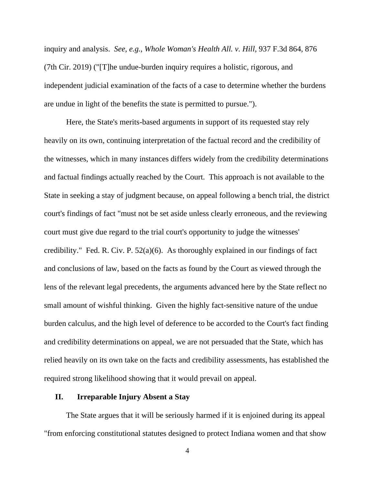inquiry and analysis. *See, e.g.*, *Whole Woman's Health All. v. Hill*, 937 F.3d 864, 876 (7th Cir. 2019) ("[T]he undue-burden inquiry requires a holistic, rigorous, and independent judicial examination of the facts of a case to determine whether the burdens are undue in light of the benefits the state is permitted to pursue.").

Here, the State's merits-based arguments in support of its requested stay rely heavily on its own, continuing interpretation of the factual record and the credibility of the witnesses, which in many instances differs widely from the credibility determinations and factual findings actually reached by the Court. This approach is not available to the State in seeking a stay of judgment because, on appeal following a bench trial, the district court's findings of fact "must not be set aside unless clearly erroneous, and the reviewing court must give due regard to the trial court's opportunity to judge the witnesses' credibility." Fed. R. Civ. P. 52(a)(6). As thoroughly explained in our findings of fact and conclusions of law, based on the facts as found by the Court as viewed through the lens of the relevant legal precedents, the arguments advanced here by the State reflect no small amount of wishful thinking. Given the highly fact-sensitive nature of the undue burden calculus, and the high level of deference to be accorded to the Court's fact finding and credibility determinations on appeal, we are not persuaded that the State, which has relied heavily on its own take on the facts and credibility assessments, has established the required strong likelihood showing that it would prevail on appeal.

### **II. Irreparable Injury Absent a Stay**

The State argues that it will be seriously harmed if it is enjoined during its appeal "from enforcing constitutional statutes designed to protect Indiana women and that show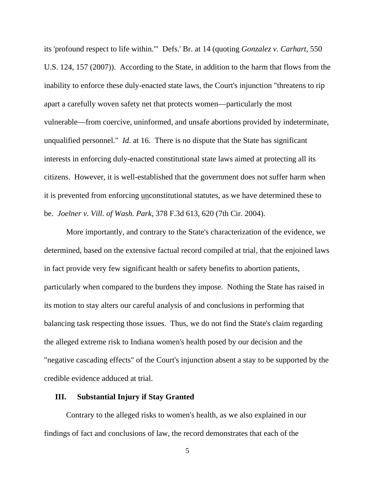its 'profound respect to life within.'" Defs.' Br. at 14 (quoting *Gonzalez v. Carhart*, 550 U.S. 124, 157 (2007)). According to the State, in addition to the harm that flows from the inability to enforce these duly-enacted state laws, the Court's injunction "threatens to rip apart a carefully woven safety net that protects women—particularly the most vulnerable—from coercive, uninformed, and unsafe abortions provided by indeterminate, unqualified personnel." *Id.* at 16. There is no dispute that the State has significant interests in enforcing duly-enacted constitutional state laws aimed at protecting all its citizens. However, it is well-established that the government does not suffer harm when it is prevented from enforcing unconstitutional statutes, as we have determined these to be. *Joelner v. Vill. of Wash. Park*, 378 F.3d 613, 620 (7th Cir. 2004).

More importantly, and contrary to the State's characterization of the evidence, we determined, based on the extensive factual record compiled at trial, that the enjoined laws in fact provide very few significant health or safety benefits to abortion patients, particularly when compared to the burdens they impose. Nothing the State has raised in its motion to stay alters our careful analysis of and conclusions in performing that balancing task respecting those issues. Thus, we do not find the State's claim regarding the alleged extreme risk to Indiana women's health posed by our decision and the "negative cascading effects" of the Court's injunction absent a stay to be supported by the credible evidence adduced at trial.

### **III. Substantial Injury if Stay Granted**

Contrary to the alleged risks to women's health, as we also explained in our findings of fact and conclusions of law, the record demonstrates that each of the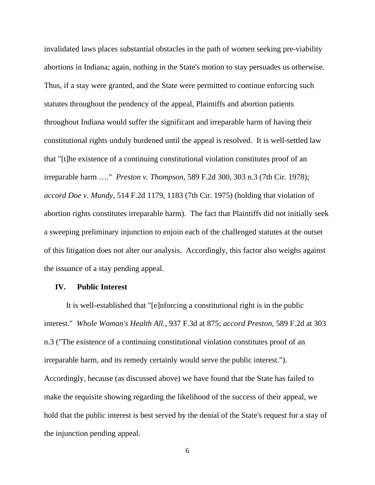invalidated laws places substantial obstacles in the path of women seeking pre-viability abortions in Indiana; again, nothing in the State's motion to stay persuades us otherwise. Thus, if a stay were granted, and the State were permitted to continue enforcing such statutes throughout the pendency of the appeal, Plaintiffs and abortion patients throughout Indiana would suffer the significant and irreparable harm of having their constitutional rights unduly burdened until the appeal is resolved. It is well-settled law that "[t]he existence of a continuing constitutional violation constitutes proof of an irreparable harm …." *Preston v. Thompson*, 589 F.2d 300, 303 n.3 (7th Cir. 1978); *accord Doe v. Mundy*, 514 F.2d 1179, 1183 (7th Cir. 1975) (holding that violation of abortion rights constitutes irreparable harm). The fact that Plaintiffs did not initially seek a sweeping preliminary injunction to enjoin each of the challenged statutes at the outset of this litigation does not alter our analysis. Accordingly, this factor also weighs against the issuance of a stay pending appeal.

#### **IV. Public Interest**

It is well-established that "[e]nforcing a constitutional right is in the public interest." *Whole Woman's Health All.*, 937 F.3d at 875; *accord Preston*, 589 F.2d at 303 n.3 ("The existence of a continuing constitutional violation constitutes proof of an irreparable harm, and its remedy certainly would serve the public interest."). Accordingly, because (as discussed above) we have found that the State has failed to make the requisite showing regarding the likelihood of the success of their appeal, we hold that the public interest is best served by the denial of the State's request for a stay of the injunction pending appeal.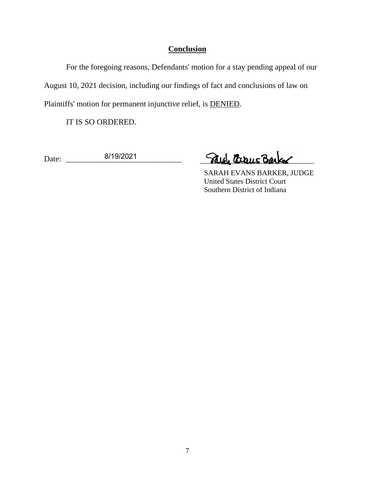# **Conclusion**

For the foregoing reasons, Defendants' motion for a stay pending appeal of our August 10, 2021 decision, including our findings of fact and conclusions of law on Plaintiffs' motion for permanent injunctive relief, is DENIED.

IT IS SO ORDERED.

Date: \_\_\_\_\_\_\_\_\_\_\_\_\_\_\_\_\_\_\_\_\_\_\_\_\_\_\_\_\_ 8/19/2021

Para Circus Barker

 SARAH EVANS BARKER, JUDGE United States District Court Southern District of Indiana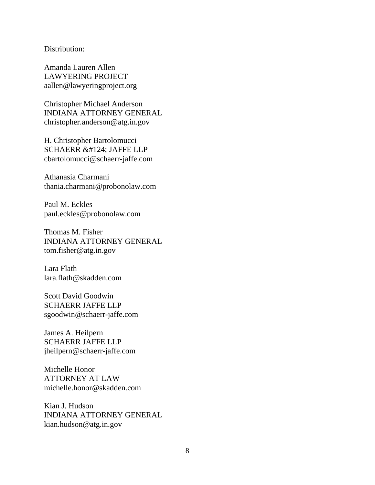Distribution:

Amanda Lauren Allen LAWYERING PROJECT aallen@lawyeringproject.org

Christopher Michael Anderson INDIANA ATTORNEY GENERAL christopher.anderson@atg.in.gov

H. Christopher Bartolomucci SCHAERR | JAFFE LLP cbartolomucci@schaerr-jaffe.com

Athanasia Charmani thania.charmani@probonolaw.com

Paul M. Eckles paul.eckles@probonolaw.com

Thomas M. Fisher INDIANA ATTORNEY GENERAL tom.fisher@atg.in.gov

Lara Flath lara.flath@skadden.com

Scott David Goodwin SCHAERR JAFFE LLP sgoodwin@schaerr-jaffe.com

James A. Heilpern SCHAERR JAFFE LLP jheilpern@schaerr-jaffe.com

Michelle Honor ATTORNEY AT LAW michelle.honor@skadden.com

Kian J. Hudson INDIANA ATTORNEY GENERAL kian.hudson@atg.in.gov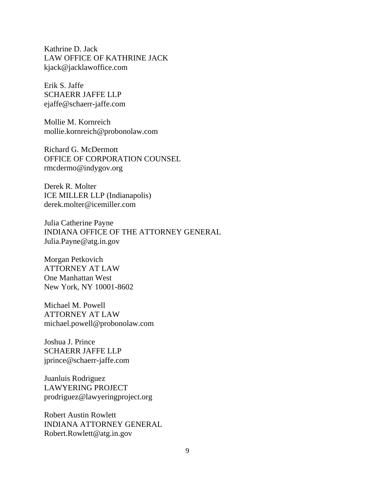Kathrine D. Jack LAW OFFICE OF KATHRINE JACK kjack@jacklawoffice.com

Erik S. Jaffe SCHAERR JAFFE LLP ejaffe@schaerr-jaffe.com

Mollie M. Kornreich mollie.kornreich@probonolaw.com

Richard G. McDermott OFFICE OF CORPORATION COUNSEL rmcdermo@indygov.org

Derek R. Molter ICE MILLER LLP (Indianapolis) derek.molter@icemiller.com

Julia Catherine Payne INDIANA OFFICE OF THE ATTORNEY GENERAL Julia.Payne@atg.in.gov

Morgan Petkovich ATTORNEY AT LAW One Manhattan West New York, NY 10001-8602

Michael M. Powell ATTORNEY AT LAW michael.powell@probonolaw.com

Joshua J. Prince SCHAERR JAFFE LLP jprince@schaerr-jaffe.com

Juanluis Rodriguez LAWYERING PROJECT prodriguez@lawyeringproject.org

Robert Austin Rowlett INDIANA ATTORNEY GENERAL Robert.Rowlett@atg.in.gov